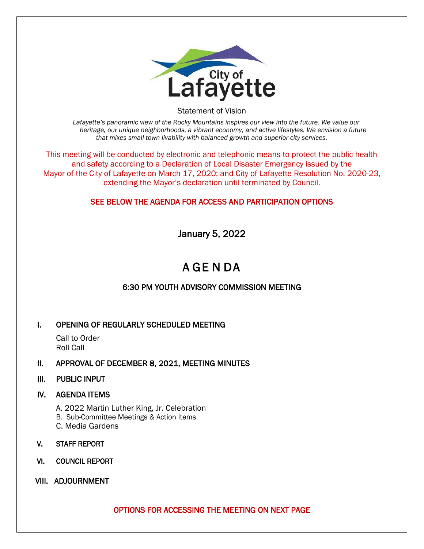

Statement of Vision

*Lafayette's panoramic view of the Rocky Mountains inspires our view into the future. We value our heritage, our unique neighborhoods, a vibrant economy, and active lifestyles. We envision a future that mixes small-town livability with balanced growth and superior city services.*

This meeting will be conducted by electronic and telephonic means to protect the public health and safety according to a Declaration of Local Disaster Emergency issued by the Mayor of the City of Lafayette on March 17, 2020; and City of Lafayette Resolution No. 2020-23, extending the Mayor's declaration until terminated by Council.

## SEE BELOW THE AGENDA FOR ACCESS AND PARTICIPATION OPTIONS

January 5, 2022

# A GE N DA

## 6:30 PM YOUTH ADVISORY COMMISSION MEETING

### I. OPENING OF REGULARLY SCHEDULED MEETING

Call to Order Roll Call

### II. APPROVAL OF DECEMBER 8, 2021, MEETING MINUTES

#### III. PUBLIC INPUT

### IV. AGENDA ITEMS

- A. 2022 Martin Luther King, Jr. Celebration
- B. Sub-Committee Meetings & Action Items
- C. Media Gardens
- V. STAFF REPORT
- VI. COUNCIL REPORT
- VIII. ADJOURNMENT

OPTIONS FOR ACCESSING THE MEETING ON NEXT PAGE